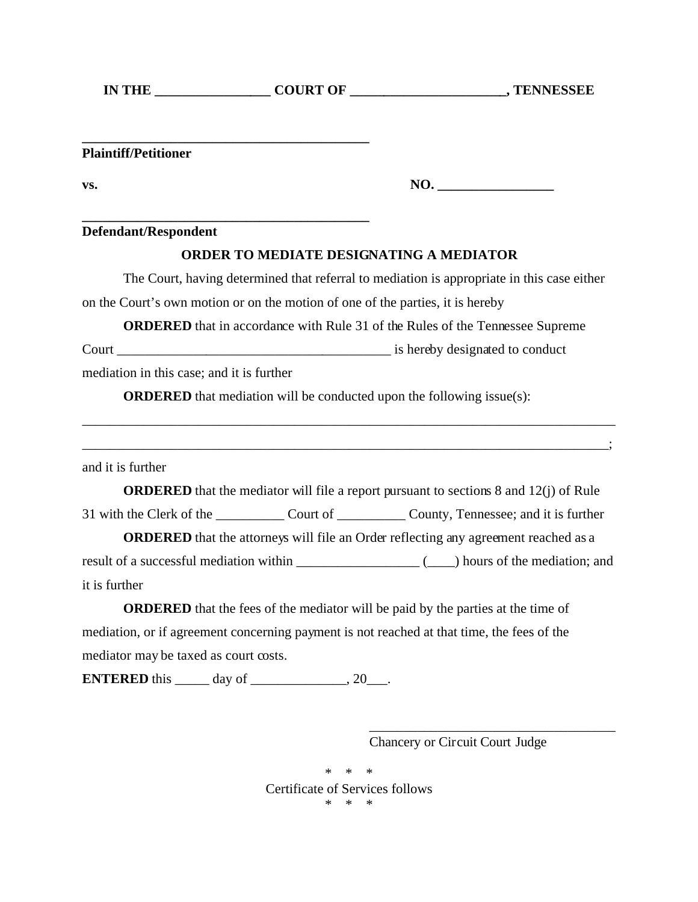| <b>IN THE</b> | <b>COURT OF</b> | , TENNESSEE |
|---------------|-----------------|-------------|
|---------------|-----------------|-------------|

**\_\_\_\_\_\_\_\_\_\_\_\_\_\_\_\_\_\_\_\_\_\_\_\_\_\_\_\_\_\_\_\_\_\_\_\_\_\_\_\_\_\_ Plaintiff/Petitioner**

**vs. NO. \_\_\_\_\_\_\_\_\_\_\_\_\_\_\_\_\_**

**Defendant/Respondent**

## **ORDER TO MEDIATE DESIGNATING A MEDIATOR**

The Court, having determined that referral to mediation is appropriate in this case either on the Court's own motion or on the motion of one of the parties, it is hereby

**ORDERED** that in accordance with Rule 31 of the Rules of the Tennessee Supreme

Court \_\_\_\_\_\_\_\_\_\_\_\_\_\_\_\_\_\_\_\_\_\_\_\_\_\_\_\_\_\_\_\_\_\_\_\_\_\_\_\_ is hereby designated to conduct

mediation in this case; and it is further

**\_\_\_\_\_\_\_\_\_\_\_\_\_\_\_\_\_\_\_\_\_\_\_\_\_\_\_\_\_\_\_\_\_\_\_\_\_\_\_\_\_\_**

**ORDERED** that mediation will be conducted upon the following issue(s):

and it is further

**ORDERED** that the mediator will file a report pursuant to sections 8 and 12(j) of Rule 31 with the Clerk of the \_\_\_\_\_\_\_\_\_\_\_\_ Court of \_\_\_\_\_\_\_\_\_\_\_ County, Tennessee; and it is further

\_\_\_\_\_\_\_\_\_\_\_\_\_\_\_\_\_\_\_\_\_\_\_\_\_\_\_\_\_\_\_\_\_\_\_\_\_\_\_\_\_\_\_\_\_\_\_\_\_\_\_\_\_\_\_\_\_\_\_\_\_\_\_\_\_\_\_\_\_\_\_\_\_\_\_\_\_\_

\_\_\_\_\_\_\_\_\_\_\_\_\_\_\_\_\_\_\_\_\_\_\_\_\_\_\_\_\_\_\_\_\_\_\_\_\_\_\_\_\_\_\_\_\_\_\_\_\_\_\_\_\_\_\_\_\_\_\_\_\_\_\_\_\_\_\_\_\_\_\_\_\_\_\_\_\_;

**ORDERED** that the attorneys will file an Order reflecting any agreement reached as a result of a successful mediation within  $\qquad \qquad \qquad ($  hours of the mediation; and it is further

**ORDERED** that the fees of the mediator will be paid by the parties at the time of mediation, or if agreement concerning payment is not reached at that time, the fees of the mediator may be taxed as court costs.

**ENTERED** this \_\_\_\_\_\_ day of \_\_\_\_\_\_\_\_\_\_\_\_\_, 20\_\_\_.

\_\_\_\_\_\_\_\_\_\_\_\_\_\_\_\_\_\_\_\_\_\_\_\_\_\_\_\_\_\_\_\_\_\_\_\_ Chancery or Circuit Court Judge

\* \* \* Certificate of Services follows \* \* \*